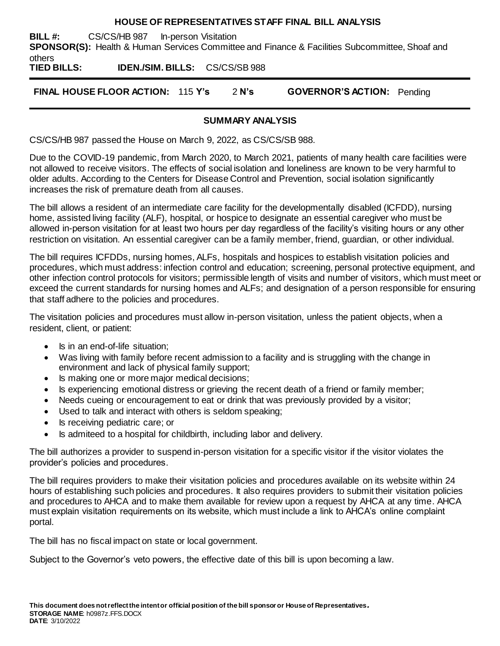### **HOUSE OF REPRESENTATIVES STAFF FINAL BILL ANALYSIS**

**BILL #:** CS/CS/HB 987 In-person Visitation **SPONSOR(S):** Health & Human Services Committee and Finance & Facilities Subcommittee, Shoaf and others

**TIED BILLS: IDEN./SIM. BILLS:** CS/CS/SB 988

**FINAL HOUSE FLOOR ACTION:** 115 **Y's** 2 **N's GOVERNOR'S ACTION:** Pending

### **SUMMARY ANALYSIS**

CS/CS/HB 987 passed the House on March 9, 2022, as CS/CS/SB 988.

Due to the COVID-19 pandemic, from March 2020, to March 2021, patients of many health care facilities were not allowed to receive visitors. The effects of social isolation and loneliness are known to be very harmful to older adults. According to the Centers for Disease Control and Prevention, social isolation significantly increases the risk of premature death from all causes.

The bill allows a resident of an intermediate care facility for the developmentally disabled (ICFDD), nursing home, assisted living facility (ALF), hospital, or hospice to designate an essential caregiver who must be allowed in-person visitation for at least two hours per day regardless of the facility's visiting hours or any other restriction on visitation. An essential caregiver can be a family member, friend, guardian, or other individual.

The bill requires ICFDDs, nursing homes, ALFs, hospitals and hospices to establish visitation policies and procedures, which must address: infection control and education; screening, personal protective equipment, and other infection control protocols for visitors; permissible length of visits and number of visitors, which must meet or exceed the current standards for nursing homes and ALFs; and designation of a person responsible for ensuring that staff adhere to the policies and procedures.

The visitation policies and procedures must allow in-person visitation, unless the patient objects, when a resident, client, or patient:

- Is in an end-of-life situation;
- Was living with family before recent admission to a facility and is struggling with the change in environment and lack of physical family support;
- Is making one or more major medical decisions;
- Is experiencing emotional distress or grieving the recent death of a friend or family member;
- Needs cueing or encouragement to eat or drink that was previously provided by a visitor;
- Used to talk and interact with others is seldom speaking;
- Is receiving pediatric care; or
- Is admiteed to a hospital for childbirth, including labor and delivery.

The bill authorizes a provider to suspend in-person visitation for a specific visitor if the visitor violates the provider's policies and procedures.

The bill requires providers to make their visitation policies and procedures available on its website within 24 hours of establishing such policies and procedures. It also requires providers to submit their visitation policies and procedures to AHCA and to make them available for review upon a request by AHCA at any time. AHCA must explain visitation requirements on its website, which must include a link to AHCA's online complaint portal.

The bill has no fiscal impact on state or local government.

Subject to the Governor's veto powers, the effective date of this bill is upon becoming a law.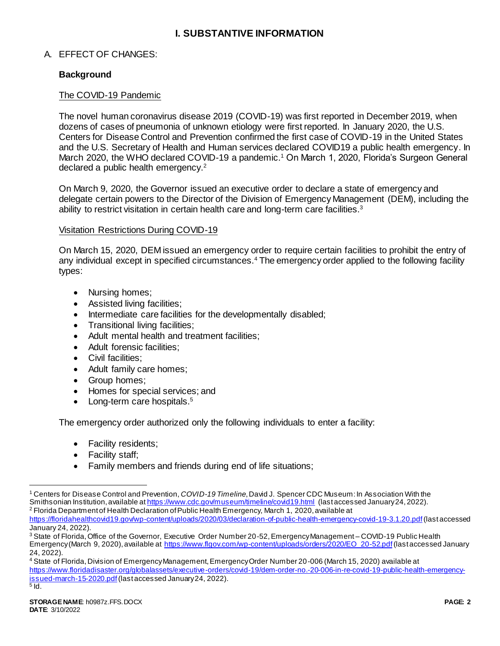# **I. SUBSTANTIVE INFORMATION**

## A. EFFECT OF CHANGES:

### **Background**

### The COVID-19 Pandemic

The novel human coronavirus disease 2019 (COVID-19) was first reported in December 2019, when dozens of cases of pneumonia of unknown etiology were first reported. In January 2020, the U.S. Centers for Disease Control and Prevention confirmed the first case of COVID-19 in the United States and the U.S. Secretary of Health and Human services declared COVID19 a public health emergency. In March 2020, the WHO declared COVID-19 a pandemic.<sup>1</sup> On March 1, 2020, Florida's Surgeon General declared a public health emergency.<sup>2</sup>

On March 9, 2020, the Governor issued an executive order to declare a state of emergency and delegate certain powers to the Director of the Division of Emergency Management (DEM), including the ability to restrict visitation in certain health care and long-term care facilities.<sup>3</sup>

### Visitation Restrictions During COVID-19

On March 15, 2020, DEM issued an emergency order to require certain facilities to prohibit the entry of any individual except in specified circumstances.<sup>4</sup> The emergency order applied to the following facility types:

- Nursing homes:
- Assisted living facilities;
- Intermediate care facilities for the developmentally disabled;
- Transitional living facilities:
- Adult mental health and treatment facilities;
- Adult forensic facilities;
- Civil facilities;
- Adult family care homes;
- Group homes;
- Homes for special services; and
- Long-term care hospitals.<sup>5</sup>

The emergency order authorized only the following individuals to enter a facility:

- Facility residents;
- Facility staff;
- Family members and friends during end of life situations;

<sup>1</sup> Centers for Disease Control and Prevention, *COVID-19 Timeline*, David J. Spencer CDC Museum: In Association With the Smithsonian Institution, available a[t https://www.cdc.gov/museum/timeline/covid19.html](https://www.cdc.gov/museum/timeline/covid19.html) (last accessed January 24, 2022). <sup>2</sup> Florida Department of Health Declaration of Public Health Emergency, March 1, 2020, available at

<https://floridahealthcovid19.gov/wp-content/uploads/2020/03/declaration-of-public-health-emergency-covid-19-3.1.20.pdf>(last accessed January 24, 2022).

<sup>&</sup>lt;sup>3</sup> State of Florida, Office of the Governor, Executive Order Number 20-52. Emergency Management – COVID-19 Public Health Emergency (March 9, 2020), available a[t https://www.flgov.com/wp-content/uploads/orders/2020/EO\\_20-52.pdf](https://www.flgov.com/wp-content/uploads/orders/2020/EO_20-52.pdf)(last accessed January 24, 2022).

<sup>4</sup> State of Florida, Division of Emergency Management, Emergency Order Number 20-006 (March 15, 2020) available at [https://www.floridadisaster.org/globalassets/executive-orders/covid-19/dem-order-no.-20-006-in-re-covid-19-public-health-emergency](https://www.floridadisaster.org/globalassets/executive-orders/covid-19/dem-order-no.-20-006-in-re-covid-19-public-health-emergency-issued-march-15-2020.pdf)[issued-march-15-2020.pdf](https://www.floridadisaster.org/globalassets/executive-orders/covid-19/dem-order-no.-20-006-in-re-covid-19-public-health-emergency-issued-march-15-2020.pdf)(last accessed January 24, 2022).  $^5$  ld.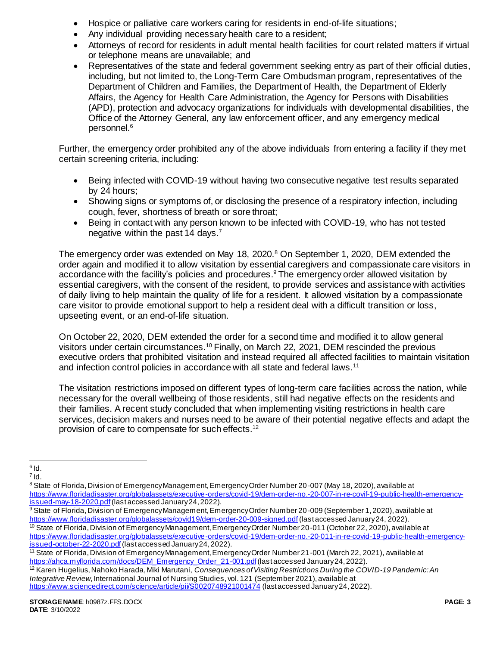- Hospice or palliative care workers caring for residents in end-of-life situations;
- Any individual providing necessary health care to a resident;
- Attorneys of record for residents in adult mental health facilities for court related matters if virtual or telephone means are unavailable; and
- Representatives of the state and federal government seeking entry as part of their official duties, including, but not limited to, the Long-Term Care Ombudsman program, representatives of the Department of Children and Families, the Department of Health, the Department of Elderly Affairs, the Agency for Health Care Administration, the Agency for Persons with Disabilities (APD), protection and advocacy organizations for individuals with developmental disabilities, the Office of the Attorney General, any law enforcement officer, and any emergency medical personnel.<sup>6</sup>

Further, the emergency order prohibited any of the above individuals from entering a facility if they met certain screening criteria, including:

- Being infected with COVID-19 without having two consecutive negative test results separated by 24 hours;
- Showing signs or symptoms of, or disclosing the presence of a respiratory infection, including cough, fever, shortness of breath or sore throat;
- Being in contact with any person known to be infected with COVID-19, who has not tested negative within the past 14 days.<sup>7</sup>

The emergency order was extended on May 18, 2020.<sup>8</sup> On September 1, 2020, DEM extended the order again and modified it to allow visitation by essential caregivers and compassionate care visitors in accordance with the facility's policies and procedures. <sup>9</sup> The emergency order allowed visitation by essential caregivers, with the consent of the resident, to provide services and assistance with activities of daily living to help maintain the quality of life for a resident. It allowed visitation by a compassionate care visitor to provide emotional support to help a resident deal with a difficult transition or loss, upseeting event, or an end-of-life situation.

On October 22, 2020, DEM extended the order for a second time and modified it to allow general visitors under certain circumstances.<sup>10</sup> Finally, on March 22, 2021, DEM rescinded the previous executive orders that prohibited visitation and instead required all affected facilities to maintain visitation and infection control policies in accordance with all state and federal laws.<sup>11</sup>

The visitation restrictions imposed on different types of long-term care facilities across the nation, while necessary for the overall wellbeing of those residents, still had negative effects on the residents and their families. A recent study concluded that when implementing visiting restrictions in health care services, decision makers and nurses need to be aware of their potential negative effects and adapt the provision of care to compensate for such effects.<sup>12</sup>

<sup>12</sup> Karen Hugelius, Nahoko Harada, Miki Marutani, *Consequences of Visiting Restrictions During the COVID-19 Pandemic: An Integrative Review*, International Journal of Nursing Studies, vol. 121 (September 2021), available at <https://www.sciencedirect.com/science/article/pii/S0020748921001474> (last accessed January 24, 2022).

 $\overline{6}$  Id.

 $^7$  Id.

<sup>&</sup>lt;sup>8</sup> State of Florida, Division of Emergency Management, Emergency Order Number 20-007 (May 18, 2020), available at [https://www.floridadisaster.org/globalassets/executive-orders/covid-19/dem-order-no.-20-007-in-re-covif-19-public-health-emergency](https://www.floridadisaster.org/globalassets/executive-orders/covid-19/dem-order-no.-20-007-in-re-covif-19-public-health-emergency-issued-may-18-2020.pdf)[issued-may-18-2020.pdf](https://www.floridadisaster.org/globalassets/executive-orders/covid-19/dem-order-no.-20-007-in-re-covif-19-public-health-emergency-issued-may-18-2020.pdf)(last accessed January 24, 2022).

<sup>9</sup> State of Florida, Division of Emergency Management, Emergency Order Number 20-009 (September 1, 2020), available at <https://www.floridadisaster.org/globalassets/covid19/dem-order-20-009-signed.pdf>(last accessed January 24, 2022). <sup>10</sup> State of Florida, Division of Emergency Management, Emergency Order Number 20-011 (October 22, 2020), available at [https://www.floridadisaster.org/globalassets/executive-orders/covid-19/dem-order-no.-20-011-in-re-covid-19-public-health-emergency](https://www.floridadisaster.org/globalassets/executive-orders/covid-19/dem-order-no.-20-011-in-re-covid-19-public-health-emergency-issued-october-22-2020.pdf)[issued-october-22-2020.pdf](https://www.floridadisaster.org/globalassets/executive-orders/covid-19/dem-order-no.-20-011-in-re-covid-19-public-health-emergency-issued-october-22-2020.pdf)(last accessed January 24, 2022).

<sup>&</sup>lt;sup>11</sup> State of Florida, Division of Emergency Management, Emergency Order Number 21-001 (March 22, 2021), available at [https://ahca.myflorida.com/docs/DEM\\_Emergency\\_Order\\_21-001.pdf](https://ahca.myflorida.com/docs/DEM_Emergency_Order_21-001.pdf) (last accessed January 24, 2022).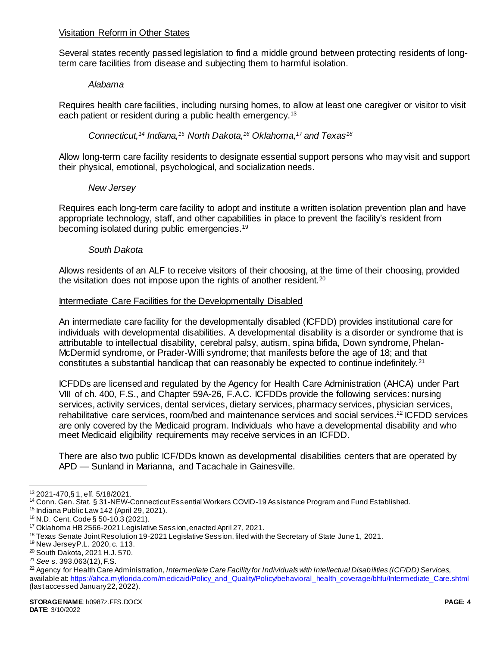### Visitation Reform in Other States

Several states recently passed legislation to find a middle ground between protecting residents of longterm care facilities from disease and subjecting them to harmful isolation.

### *Alabama*

Requires health care facilities, including nursing homes, to allow at least one caregiver or visitor to visit each patient or resident during a public health emergency.<sup>13</sup>

*Connecticut,<sup>14</sup> Indiana,<sup>15</sup> North Dakota,<sup>16</sup> Oklahoma,<sup>17</sup> and Texas<sup>18</sup>*

Allow long-term care facility residents to designate essential support persons who may visit and support their physical, emotional, psychological, and socialization needs.

### *New Jersey*

Requires each long-term care facility to adopt and institute a written isolation prevention plan and have appropriate technology, staff, and other capabilities in place to prevent the facility's resident from becoming isolated during public emergencies.<sup>19</sup>

### *South Dakota*

Allows residents of an ALF to receive visitors of their choosing, at the time of their choosing, provided the visitation does not impose upon the rights of another resident.<sup>20</sup>

### Intermediate Care Facilities for the Developmentally Disabled

An intermediate care facility for the developmentally disabled (ICFDD) provides institutional care for individuals with developmental disabilities. A developmental disability is a disorder or syndrome that is attributable to intellectual disability, cerebral palsy, autism, spina bifida, Down syndrome, Phelan-McDermid syndrome, or Prader-Willi syndrome; that manifests before the age of 18; and that constitutes a substantial handicap that can reasonably be expected to continue indefinitely.<sup>21</sup>

ICFDDs are licensed and regulated by the Agency for Health Care Administration (AHCA) under Part VIII of ch. 400, F.S., and Chapter 59A-26, F.A.C. ICFDDs provide the following services: nursing services, activity services, dental services, dietary services, pharmacy services, physician services, rehabilitative care services, room/bed and maintenance services and social services.<sup>22</sup> ICFDD services are only covered by the Medicaid program. Individuals who have a developmental disability and who meet Medicaid eligibility requirements may receive services in an ICFDD.

There are also two public ICF/DDs known as developmental disabilities centers that are operated by APD — Sunland in Marianna, and Tacachale in Gainesville.

<sup>13</sup> 2021-470,§ 1, eff. 5/18/2021.

<sup>14</sup> Conn. Gen. Stat. § 31-NEW-Connecticut Essential Workers COVID-19 Assistance Program and Fund Established.

<sup>15</sup> Indiana Public Law 142 (April 29, 2021).

<sup>16</sup> N.D. Cent. Code § 50-10.3 (2021).

<sup>17</sup> Oklahoma HB 2566-2021 Legislative Session, enacted April 27, 2021.

<sup>&</sup>lt;sup>18</sup> Texas Senate Joint Resolution 19-2021 Legislative Session, filed with the Secretary of State June 1, 2021.

<sup>19</sup> New JerseyP.L. 2020, c. 113.

<sup>20</sup> South Dakota, 2021 H.J. 570.

<sup>21</sup> *See* s. 393.063(12), F.S.

<sup>22</sup> Agency for Health Care Administration, *Intermediate Care Facility for Individuals with Intellectual Disabilities (ICF/DD) Services,*  available at[: https://ahca.myflorida.com/medicaid/Policy\\_and\\_Quality/Policy/behavioral\\_health\\_coverage/bhfu/Intermediate\\_Care.shtml](https://ahca.myflorida.com/medicaid/Policy_and_Quality/Policy/behavioral_health_coverage/bhfu/Intermediate_Care.shtml) (last accessed January 22, 2022).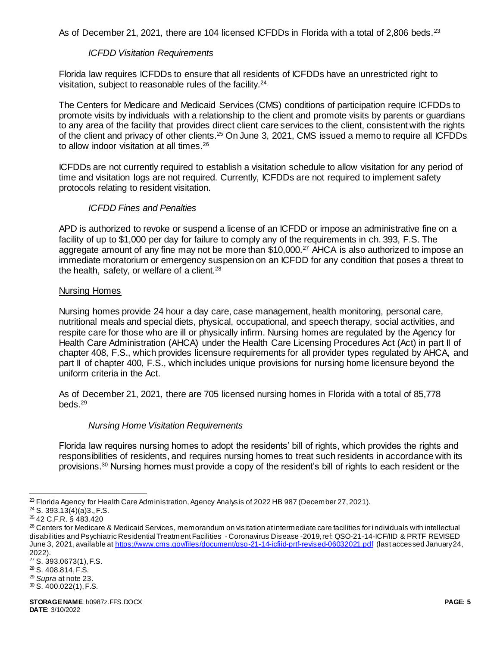As of December 21, 2021, there are 104 licensed ICFDDs in Florida with a total of 2,806 beds.<sup>23</sup>

# *ICFDD Visitation Requirements*

Florida law requires ICFDDs to ensure that all residents of ICFDDs have an unrestricted right to visitation, subject to reasonable rules of the facility.<sup>24</sup>

The Centers for Medicare and Medicaid Services (CMS) conditions of participation require ICFDDs to promote visits by individuals with a relationship to the client and promote visits by parents or guardians to any area of the facility that provides direct client care services to the client, consistent with the rights of the client and privacy of other clients.<sup>25</sup> On June 3, 2021, CMS issued a memo to require all ICFDDs to allow indoor visitation at all times.<sup>26</sup>

ICFDDs are not currently required to establish a visitation schedule to allow visitation for any period of time and visitation logs are not required. Currently, ICFDDs are not required to implement safety protocols relating to resident visitation.

## *ICFDD Fines and Penalties*

APD is authorized to revoke or suspend a license of an ICFDD or impose an administrative fine on a facility of up to \$1,000 per day for failure to comply any of the requirements in ch. 393, F.S. The aggregate amount of any fine may not be more than \$10,000.<sup>27</sup> AHCA is also authorized to impose an immediate moratorium or emergency suspension on an ICFDD for any condition that poses a threat to the health, safety, or welfare of a client.<sup>28</sup>

## Nursing Homes

Nursing homes provide 24 hour a day care, case management, health monitoring, personal care, nutritional meals and special diets, physical, occupational, and speech therapy, social activities, and respite care for those who are ill or physically infirm. Nursing homes are regulated by the Agency for Health Care Administration (AHCA) under the Health Care Licensing Procedures Act (Act) in part II of chapter 408, F.S., which provides licensure requirements for all provider types regulated by AHCA, and part II of chapter 400, F.S., which includes unique provisions for nursing home licensure beyond the uniform criteria in the Act.

As of December 21, 2021, there are 705 licensed nursing homes in Florida with a total of 85,778 beds.<sup>29</sup>

## *Nursing Home Visitation Requirements*

Florida law requires nursing homes to adopt the residents' bill of rights, which provides the rights and responsibilities of residents, and requires nursing homes to treat such residents in accordance with its provisions.<sup>30</sup> Nursing homes must provide a copy of the resident's bill of rights to each resident or the

l <sup>23</sup> Florida Agency for Health Care Administration, Agency Analysis of 2022 HB 987 (December 27, 2021).

 $24$  S. 393.13(4)(a)3., F.S.

<sup>25</sup> 42 C.F.R. § 483.420

<sup>26</sup> Centers for Medicare & Medicaid Services, memorandum on visitation at intermediate care facilities for i ndividuals with intellectual disabilities and Psychiatric Residential Treatment Facilities - Coronavirus Disease -2019, ref: QSO-21-14-ICF/IID & PRTF REVISED June 3, 2021, available at<https://www.cms.gov/files/document/qso-21-14-icfiid-prtf-revised-06032021.pdf> (last accessed January 24, 2022).

<sup>27</sup> S. 393.0673(1), F.S.

<sup>28</sup> S. 408.814, F.S.

<sup>29</sup> *Supra* at note 23.

 $30$  S. 400.022(1), F.S.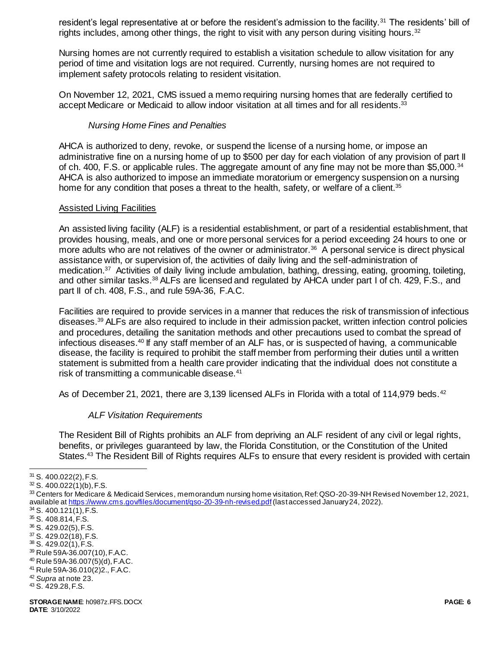resident's legal representative at or before the resident's admission to the facility.<sup>31</sup> The residents' bill of rights includes, among other things, the right to visit with any person during visiting hours.  $32$ 

Nursing homes are not currently required to establish a visitation schedule to allow visitation for any period of time and visitation logs are not required. Currently, nursing homes are not required to implement safety protocols relating to resident visitation.

On November 12, 2021, CMS issued a memo requiring nursing homes that are federally certified to accept Medicare or Medicaid to allow indoor visitation at all times and for all residents.<sup>33</sup>

### *Nursing Home Fines and Penalties*

AHCA is authorized to deny, revoke, or suspend the license of a nursing home, or impose an administrative fine on a nursing home of up to \$500 per day for each violation of any provision of part II of ch. 400, F.S. or applicable rules. The aggregate amount of any fine may not be more than \$5,000.<sup>34</sup> AHCA is also authorized to impose an immediate moratorium or emergency suspension on a nursing home for any condition that poses a threat to the health, safety, or welfare of a client.<sup>35</sup>

### Assisted Living Facilities

An assisted living facility (ALF) is a residential establishment, or part of a residential establishment, that provides housing, meals, and one or more personal services for a period exceeding 24 hours to one or more adults who are not relatives of the owner or administrator.<sup>36</sup> A personal service is direct physical assistance with, or supervision of, the activities of daily living and the self-administration of medication.<sup>37</sup> Activities of daily living include ambulation, bathing, dressing, eating, grooming, toileting, and other similar tasks.<sup>38</sup> ALFs are licensed and regulated by AHCA under part I of ch. 429, F.S., and part II of ch. 408, F.S., and rule 59A-36, F.A.C.

Facilities are required to provide services in a manner that reduces the risk of transmission of infectious diseases.<sup>39</sup> ALFs are also required to include in their admission packet, written infection control policies and procedures, detailing the sanitation methods and other precautions used to combat the spread of infectious diseases.<sup>40</sup> If any staff member of an ALF has, or is suspected of having, a communicable disease, the facility is required to prohibit the staff member from performing their duties until a written statement is submitted from a health care provider indicating that the individual does not constitute a risk of transmitting a communicable disease.<sup>41</sup>

As of December 21, 2021, there are 3,139 licensed ALFs in Florida with a total of 114,979 beds.<sup>42</sup>

### *ALF Visitation Requirements*

The Resident Bill of Rights prohibits an ALF from depriving an ALF resident of any civil or legal rights, benefits, or privileges guaranteed by law, the Florida Constitution, or the Constitution of the United States.<sup>43</sup> The Resident Bill of Rights requires ALFs to ensure that every resident is provided with certain

- <sup>37</sup> S. 429.02(18), F.S.
- <sup>38</sup> S. 429.02(1), F.S.
- <sup>39</sup> Rule 59A-36.007(10), F.A.C. <sup>40</sup> Rule 59A-36.007(5)(d), F.A.C.
- <sup>41</sup> Rule 59A-36.010(2)2., F.A.C.
- <sup>42</sup> *Supra* at note 23.

<sup>&</sup>lt;sup>31</sup> S. 400.022(2), F.S.

 $32$  S. 400.022(1)(b), F.S.

<sup>33</sup> Centers for Medicare & Medicaid Services, memorandum nursing home visitation, Ref: QSO-20-39-NH Revised November 12, 2021, available at<https://www.cms.gov/files/document/qso-20-39-nh-revised.pdf>(last accessed January 24, 2022).

 $34$  S. 400.121(1), F.S.

<sup>35</sup> S. 408.814, F.S.

<sup>36</sup> S. 429.02(5), F.S.

<sup>43</sup> S. 429.28, F.S.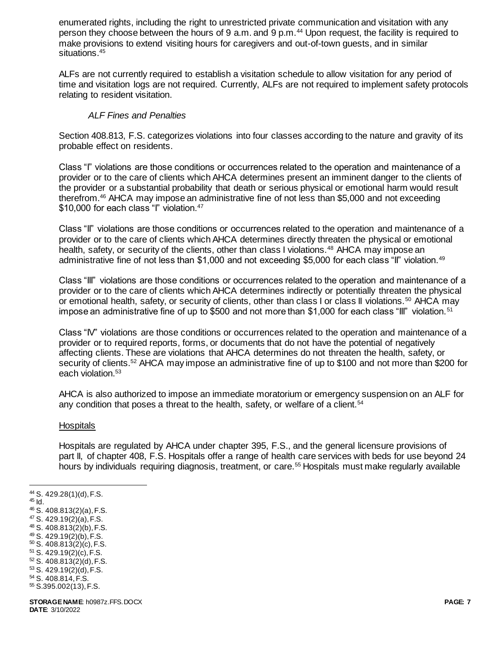enumerated rights, including the right to unrestricted private communication and visitation with any person they choose between the hours of 9 a.m. and 9 p.m.<sup>44</sup> Upon request, the facility is required to make provisions to extend visiting hours for caregivers and out-of-town guests, and in similar situations.<sup>45</sup>

ALFs are not currently required to establish a visitation schedule to allow visitation for any period of time and visitation logs are not required. Currently, ALFs are not required to implement safety protocols relating to resident visitation.

## *ALF Fines and Penalties*

Section 408.813, F.S. categorizes violations into four classes according to the nature and gravity of its probable effect on residents.

Class "I" violations are those conditions or occurrences related to the operation and maintenance of a provider or to the care of clients which AHCA determines present an imminent danger to the clients of the provider or a substantial probability that death or serious physical or emotional harm would result therefrom.<sup>46</sup> AHCA may impose an administrative fine of not less than \$5,000 and not exceeding \$10,000 for each class "I" violation.<sup>47</sup>

Class "II" violations are those conditions or occurrences related to the operation and maintenance of a provider or to the care of clients which AHCA determines directly threaten the physical or emotional health, safety, or security of the clients, other than class I violations.<sup>48</sup> AHCA may impose an administrative fine of not less than \$1,000 and not exceeding \$5,000 for each class "II" violation.<sup>49</sup>

Class "III" violations are those conditions or occurrences related to the operation and maintenance of a provider or to the care of clients which AHCA determines indirectly or potentially threaten the physical or emotional health, safety, or security of clients, other than class I or class II violations.<sup>50</sup> AHCA may impose an administrative fine of up to \$500 and not more than \$1,000 for each class "III" violation.<sup>51</sup>

Class "IV" violations are those conditions or occurrences related to the operation and maintenance of a provider or to required reports, forms, or documents that do not have the potential of negatively affecting clients. These are violations that AHCA determines do not threaten the health, safety, or security of clients.<sup>52</sup> AHCA may impose an administrative fine of up to \$100 and not more than \$200 for each violation.<sup>53</sup>

AHCA is also authorized to impose an immediate moratorium or emergency suspension on an ALF for any condition that poses a threat to the health, safety, or welfare of a client.<sup>54</sup>

### **Hospitals**

Hospitals are regulated by AHCA under chapter 395, F.S., and the general licensure provisions of part II, of chapter 408, F.S. Hospitals offer a range of health care services with beds for use beyond 24 hours by individuals requiring diagnosis, treatment, or care.<sup>55</sup> Hospitals must make regularly available

<sup>44</sup> S. 429.28(1)(d), F.S. <sup>45</sup> Id. <sup>46</sup> S. 408.813(2)(a), F.S.

- $47$  S. 429.19(2)(a), F.S. <sup>48</sup> S. 408.813(2)(b), F.S.
- <sup>49</sup> S. 429.19(2)(b), F.S.
- <sup>50</sup> S. 408.813(2)(c), F.S.
- <sup>51</sup> S. 429.19(2)(c), F.S.
- <sup>52</sup> S. 408.813(2)(d), F.S.
- <sup>53</sup> S. 429.19(2)(d), F.S.
- <sup>54</sup> S. 408.814, F.S.
- <sup>55</sup> S.395.002(13), F.S.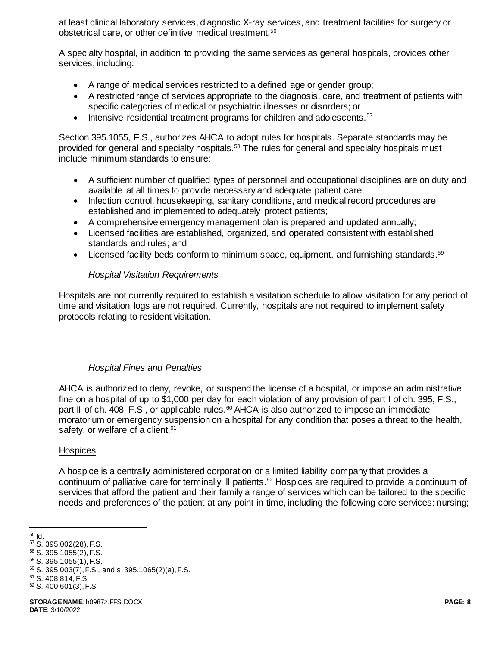at least clinical laboratory services, diagnostic X-ray services, and treatment facilities for surgery or obstetrical care, or other definitive medical treatment.<sup>56</sup>

A specialty hospital, in addition to providing the same services as general hospitals, provides other services, including:

- A range of medical services restricted to a defined age or gender group;
- A restricted range of services appropriate to the diagnosis, care, and treatment of patients with specific categories of medical or psychiatric illnesses or disorders; or
- Intensive residential treatment programs for children and adolescents.<sup>57</sup>

Section 395.1055, F.S., authorizes AHCA to adopt rules for hospitals. Separate standards may be provided for general and specialty hospitals.<sup>58</sup> The rules for general and specialty hospitals must include minimum standards to ensure:

- A sufficient number of qualified types of personnel and occupational disciplines are on duty and available at all times to provide necessary and adequate patient care;
- Infection control, housekeeping, sanitary conditions, and medical record procedures are established and implemented to adequately protect patients;
- A comprehensive emergency management plan is prepared and updated annually;
- Licensed facilities are established, organized, and operated consistent with established standards and rules; and
- $\bullet$  Licensed facility beds conform to minimum space, equipment, and furnishing standards.<sup>59</sup>

### *Hospital Visitation Requirements*

Hospitals are not currently required to establish a visitation schedule to allow visitation for any period of time and visitation logs are not required. Currently, hospitals are not required to implement safety protocols relating to resident visitation.

### *Hospital Fines and Penalties*

AHCA is authorized to deny, revoke, or suspend the license of a hospital, or impose an administrative fine on a hospital of up to \$1,000 per day for each violation of any provision of part I of ch. 395, F.S., part II of ch. 408, F.S., or applicable rules.<sup>60</sup> AHCA is also authorized to impose an immediate moratorium or emergency suspension on a hospital for any condition that poses a threat to the health, safety, or welfare of a client.<sup>61</sup>

### **Hospices**

A hospice is a centrally administered corporation or a limited liability company that provides a continuum of palliative care for terminally ill patients.<sup>62</sup> Hospices are required to provide a continuum of services that afford the patient and their family a range of services which can be tailored to the specific needs and preferences of the patient at any point in time, including the following core services: nursing;

l <sup>56</sup> Id.

<sup>57</sup> S. 395.002(28), F.S.

<sup>58</sup> S. 395.1055(2), F.S.

<sup>59</sup> S. 395.1055(1), F.S.

 $60$  S. 395.003(7), F.S., and s. 395.1065(2)(a), F.S.

<sup>61</sup> S. 408.814, F.S.

 $62$  S. 400.601(3), F.S.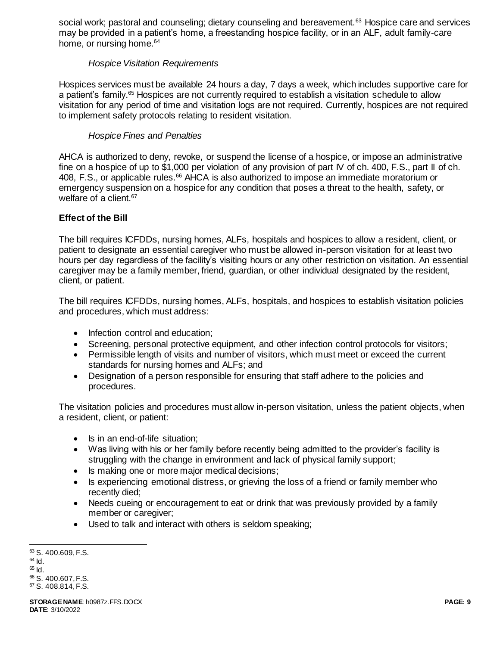social work; pastoral and counseling; dietary counseling and bereavement.<sup>63</sup> Hospice care and services may be provided in a patient's home, a freestanding hospice facility, or in an ALF, adult family-care home, or nursing home.<sup>64</sup>

# *Hospice Visitation Requirements*

Hospices services must be available 24 hours a day, 7 days a week, which includes supportive care for a patient's family.<sup>65</sup> Hospices are not currently required to establish a visitation schedule to allow visitation for any period of time and visitation logs are not required. Currently, hospices are not required to implement safety protocols relating to resident visitation.

# *Hospice Fines and Penalties*

AHCA is authorized to deny, revoke, or suspend the license of a hospice, or impose an administrative fine on a hospice of up to \$1,000 per violation of any provision of part IV of ch. 400, F.S., part II of ch. 408, F.S., or applicable rules.<sup>66</sup> AHCA is also authorized to impose an immediate moratorium or emergency suspension on a hospice for any condition that poses a threat to the health, safety, or welfare of a client.<sup>67</sup>

# **Effect of the Bill**

The bill requires ICFDDs, nursing homes, ALFs, hospitals and hospices to allow a resident, client, or patient to designate an essential caregiver who must be allowed in-person visitation for at least two hours per day regardless of the facility's visiting hours or any other restriction on visitation. An essential caregiver may be a family member, friend, guardian, or other individual designated by the resident, client, or patient.

The bill requires ICFDDs, nursing homes, ALFs, hospitals, and hospices to establish visitation policies and procedures, which must address:

- Infection control and education;
- Screening, personal protective equipment, and other infection control protocols for visitors;
- Permissible length of visits and number of visitors, which must meet or exceed the current standards for nursing homes and ALFs; and
- Designation of a person responsible for ensuring that staff adhere to the policies and procedures.

The visitation policies and procedures must allow in-person visitation, unless the patient objects, when a resident, client, or patient:

- Is in an end-of-life situation;
- Was living with his or her family before recently being admitted to the provider's facility is struggling with the change in environment and lack of physical family support;
- Is making one or more major medical decisions;
- Is experiencing emotional distress, or grieving the loss of a friend or family member who recently died;
- Needs cueing or encouragement to eat or drink that was previously provided by a family member or caregiver;
- Used to talk and interact with others is seldom speaking;

l 63 S. 400.609, F.S.  $64$  Id.  $65$   $\text{Id}$ . <sup>66</sup> S. 400.607, F.S. <sup>67</sup> S. 408.814, F.S.